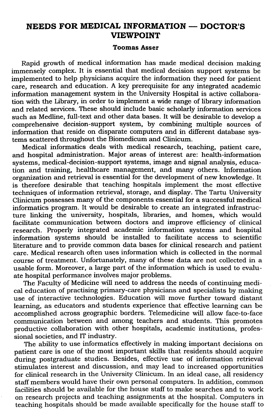## NEEDS FOR MEDICAL INFORMATION - DOCTOR'S VIEWPOINT

## Toomas Asser

Rapid growth of medical information has made medical decision making immensely complex. It is essential that medical decision support systems be implemented to help physicians acquire the information they need for patient care, research and education. A key prerequisite for any integrated academic information management system in the University Hospital is active collaboration with the Library, in order to implement a wide range of library information and related services. These should include basic scholarly information services such as Medline, full-text and other data bases. It will be desirable to develop a comprehensive decision-support system, by combining multiple sources of information that reside on disparate computers and in different database systems scattered throughout the Biomedicum and Clinicum.

Medical informatics deals with medical research, teaching, patient care, and hospital administration. Major areas of interest are: health-information systems, medical-decision-support systems, image and signal analysis, education and training, healthcare management, and many others. Information orgarizatton and retrieval is essential for the development of new knowledge. It is therefore desirable that teaching hospitals implement the most effective techniques of information retrieval, storage, and display. The Tartu University Clinicum possesses many of the components essential for a successful medical informatics program. It would be desirable to create an integrated infrastructure linking the university, hospitals, libraries, and homes, which would facilitate communication between doctors and improve efficiency of clinical research. Properly integrated academic information systems and hospital information systems should be installed to facilitate access to scientific literature and to provide common data bases for clinical research and patient care. Medical research often uses information which is collected in the normal course of treatment. Unfortunately, many of these data are not collected in a usable form. Moreover, a large part of the information which is used to evaluate hospital performance involves major problems.

The Faculty of Medicine will need to address the needs of continuing medical education of practising primary-care physicians and specialists by making use of interactive technologies. Education will move further toward distant learning, as educators and students experience that effective learning can be accomplished across geographic borders. Telemedicine will allow face-to-face communication between and among teachers and students. This promotes productive collaboration with other hospitals, academic institutions, professional societies, and IT industry.

The ability to use informatics effectively in making important decisions on patient care is one of the most important skills that residents should acquire during postgraduate studies. Besides, effective use of information retrieval stimulates interest and discussion, and may lead to increased opportunities for clinical research in the University Clinicum. In an ideal case, all residency staff members would have their own personal computers. In addition, common facilities should be available for the house staff to make searches and to work on research projects and teaching assignments at the hospital. Computers in teaching hospitals should be made available specifically for the house staff to